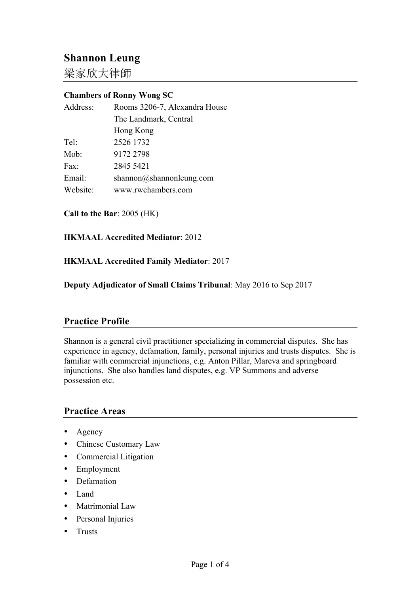# **Shannon Leung**

梁家欣大律師

# **Chambers of Ronny Wong SC**

| Address: | Rooms 3206-7, Alexandra House |
|----------|-------------------------------|
|          | The Landmark, Central         |
|          | Hong Kong                     |
| Tel:     | 2526 1732                     |
| Mob:     | 9172 2798                     |
| Fax      | 2845 5421                     |
| Email:   | shannon@shannonleung.com      |
| Website: | www.rwchambers.com            |
|          |                               |

**Call to the Bar**: 2005 (HK)

**HKMAAL Accredited Mediator**: 2012

**HKMAAL Accredited Family Mediator**: 2017

**Deputy Adjudicator of Small Claims Tribunal**: May 2016 to Sep 2017

## **Practice Profile**

Shannon is a general civil practitioner specializing in commercial disputes. She has experience in agency, defamation, family, personal injuries and trusts disputes. She is familiar with commercial injunctions, e.g. Anton Pillar, Mareva and springboard injunctions. She also handles land disputes, e.g. VP Summons and adverse possession etc.

#### **Practice Areas**

- Agency
- Chinese Customary Law
- Commercial Litigation
- Employment
- Defamation
- Land
- Matrimonial Law
- Personal Injuries
- Trusts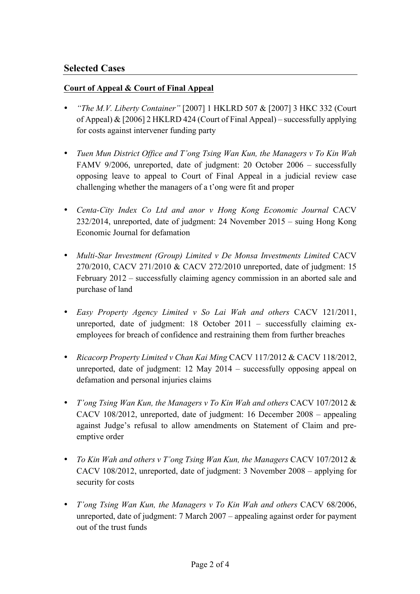# **Selected Cases**

#### **Court of Appeal & Court of Final Appeal**

- *"The M.V. Liberty Container"* [2007] 1 HKLRD 507 & [2007] 3 HKC 332 (Court of Appeal) & [2006] 2 HKLRD 424 (Court of Final Appeal) – successfully applying for costs against intervener funding party
- *Tuen Mun District Office and T'ong Tsing Wan Kun, the Managers v To Kin Wah* FAMV 9/2006, unreported, date of judgment: 20 October 2006 – successfully opposing leave to appeal to Court of Final Appeal in a judicial review case challenging whether the managers of a t'ong were fit and proper
- *Centa-City Index Co Ltd and anor v Hong Kong Economic Journal* CACV 232/2014, unreported, date of judgment: 24 November 2015 – suing Hong Kong Economic Journal for defamation
- *Multi-Star Investment (Group) Limited v De Monsa Investments Limited* CACV 270/2010, CACV 271/2010 & CACV 272/2010 unreported, date of judgment: 15 February 2012 – successfully claiming agency commission in an aborted sale and purchase of land
- *Easy Property Agency Limited v So Lai Wah and others* CACV 121/2011, unreported, date of judgment: 18 October 2011 – successfully claiming exemployees for breach of confidence and restraining them from further breaches
- *Ricacorp Property Limited v Chan Kai Ming* CACV 117/2012 & CACV 118/2012, unreported, date of judgment: 12 May 2014 – successfully opposing appeal on defamation and personal injuries claims
- *T'ong Tsing Wan Kun, the Managers v To Kin Wah and others* CACV 107/2012 & CACV 108/2012, unreported, date of judgment: 16 December 2008 – appealing against Judge's refusal to allow amendments on Statement of Claim and preemptive order
- *To Kin Wah and others v T'ong Tsing Wan Kun, the Managers* CACV 107/2012 & CACV 108/2012, unreported, date of judgment: 3 November 2008 – applying for security for costs
- *T'ong Tsing Wan Kun, the Managers v To Kin Wah and others* CACV 68/2006, unreported, date of judgment: 7 March 2007 – appealing against order for payment out of the trust funds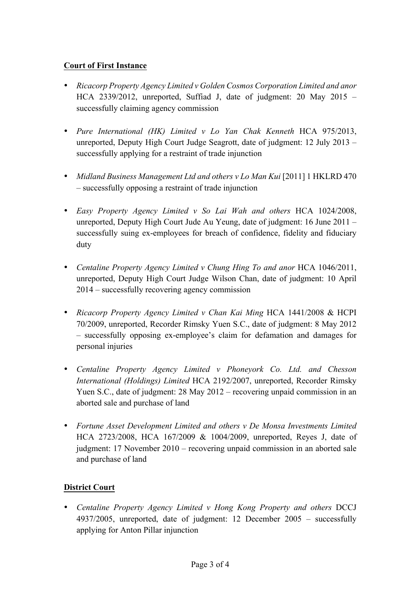### **Court of First Instance**

- *Ricacorp Property Agency Limited v Golden Cosmos Corporation Limited and anor* HCA 2339/2012, unreported, Suffiad J, date of judgment: 20 May 2015 – successfully claiming agency commission
- *Pure International (HK) Limited v Lo Yan Chak Kenneth* HCA 975/2013, unreported, Deputy High Court Judge Seagrott, date of judgment: 12 July 2013 – successfully applying for a restraint of trade injunction
- *Midland Business Management Ltd and others v Lo Man Kui* [2011] 1 HKLRD 470 – successfully opposing a restraint of trade injunction
- *Easy Property Agency Limited v So Lai Wah and others* HCA 1024/2008, unreported, Deputy High Court Jude Au Yeung, date of judgment: 16 June 2011 – successfully suing ex-employees for breach of confidence, fidelity and fiduciary duty
- *Centaline Property Agency Limited v Chung Hing To and anor* HCA 1046/2011, unreported, Deputy High Court Judge Wilson Chan, date of judgment: 10 April 2014 – successfully recovering agency commission
- *Ricacorp Property Agency Limited v Chan Kai Ming* HCA 1441/2008 & HCPI 70/2009, unreported, Recorder Rimsky Yuen S.C., date of judgment: 8 May 2012 – successfully opposing ex-employee's claim for defamation and damages for personal injuries
- *Centaline Property Agency Limited v Phoneyork Co. Ltd. and Chesson International (Holdings) Limited* HCA 2192/2007, unreported, Recorder Rimsky Yuen S.C., date of judgment: 28 May 2012 – recovering unpaid commission in an aborted sale and purchase of land
- *Fortune Asset Development Limited and others v De Monsa Investments Limited* HCA 2723/2008, HCA 167/2009 & 1004/2009, unreported, Reyes J, date of judgment: 17 November 2010 – recovering unpaid commission in an aborted sale and purchase of land

## **District Court**

• *Centaline Property Agency Limited v Hong Kong Property and others* DCCJ 4937/2005, unreported, date of judgment: 12 December 2005 – successfully applying for Anton Pillar injunction